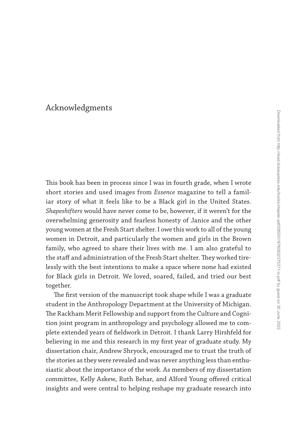## [Acknowledgments](#page--1-0)

This book has been in process since I was in fourth grade, when I wrote short stories and used images from *Essence* magazine to tell a familiar story of what it feels like to be a Black girl in the United States. *Shapeshifters* would have never come to be, however, if it weren't for the overwhelming generosity and fearless honesty of Janice and the other young women at the Fresh Start shelter. I owe this work to all of the young women in Detroit, and particularly the women and girls in the Brown family, who agreed to share their lives with me. I am also grateful to the staff and administration of the Fresh Start shelter. They worked tirelessly with the best intentions to make a space where none had existed for Black girls in Detroit. We loved, soared, failed, and tried our best together.

The first version of the manuscript took shape while I was a graduate student in the Anthropology Department at the University of Michigan. The Rackham Merit Fellowship and support from the Culture and Cognition joint program in anthropology and psychology allowed me to complete extended years of fieldwork in Detroit. I thank Larry Hirshfeld for believing in me and this research in my first year of graduate study. My dissertation chair, Andrew Shryock, encouraged me to trust the truth of the stories as they were revealed and was never anything less than enthusiastic about the importance of the work. As members of my dissertation committee, Kelly Askew, Ruth Behar, and Alford Young offered critical insights and were central to helping reshape my graduate research into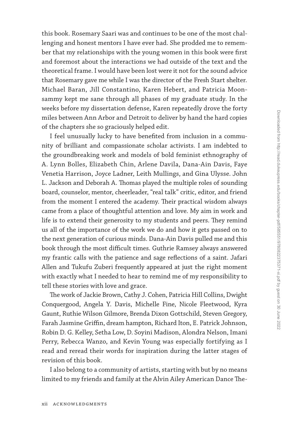this book. Rosemary Saari was and continues to be one of the most challenging and honest mentors I have ever had. She prodded me to remember that my relationships with the young women in this book were first and foremost about the interactions we had outside of the text and the theoretical frame. I would have been lost were it not for the sound advice that Rosemary gave me while I was the director of the Fresh Start shelter. Michael Baran, Jill Constantino, Karen Hebert, and Patricia Moonsammy kept me sane through all phases of my graduate study. In the weeks before my dissertation defense, Karen repeatedly drove the forty miles between Ann Arbor and Detroit to deliver by hand the hard copies of the chapters she so graciously helped edit.

I feel unusually lucky to have benefited from inclusion in a community of brilliant and compassionate scholar activists. I am indebted to the groundbreaking work and models of bold feminist ethnography of A. Lynn Bolles, Elizabeth Chin, Arlene Davila, Dana-Ain Davis, Faye Venetia Harrison, Joyce Ladner, Leith Mullings, and Gina Ulysse. John L. Jackson and Deborah A. Thomas played the multiple roles of sounding board, counselor, mentor, cheerleader, "real talk" critic, editor, and friend from the moment I entered the academy. Their practical wisdom always came from a place of thoughtful attention and love. My aim in work and life is to extend their generosity to my students and peers. They remind us all of the importance of the work we do and how it gets passed on to the next generation of curious minds. Dana-Ain Davis pulled me and this book through the most difficult times. Guthrie Ramsey always answered my frantic calls with the patience and sage reflections of a saint. Jafari Allen and Tukufu Zuberi frequently appeared at just the right moment with exactly what I needed to hear to remind me of my responsibility to tell these stories with love and grace.

The work of Jackie Brown, Cathy J. Cohen, Patricia Hill Collins, Dwight Conquergood, Angela Y. Davis, Michelle Fine, Nicole Fleetwood, Kyra Gaunt, Ruthie Wilson Gilmore, Brenda Dixon Gottschild, Steven Gregory, Farah Jasmine Griffin, dream hampton, Richard Iton, E. Patrick Johnson, Robin D. G. Kelley, Setha Low, D. Soyini Madison, Alondra Nelson, Imani Perry, Rebecca Wanzo, and Kevin Young was especially fortifying as I read and reread their words for inspiration during the latter stages of revision of this book.

I also belong to a community of artists, starting with but by no means limited to my friends and family at the Alvin Ailey American Dance The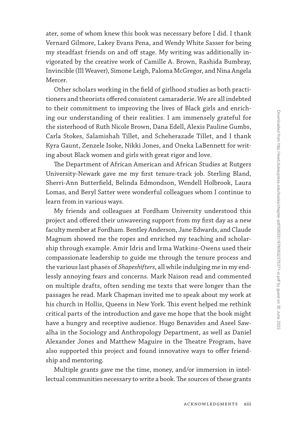ater, some of whom knew this book was necessary before I did. I thank Vernard Gilmore, Lakey Evans Pena, and Wendy White Sasser for being my steadfast friends on and off stage. My writing was additionally invigorated by the creative work of Camille A. Brown, Rashida Bumbray, Invincible (Ill Weaver), Simone Leigh, Paloma McGregor, and Nina Angela Mercer.

Other scholars working in the field of girlhood studies as both practitioners and theorists offered consistent camaraderie. We are all indebted to their commitment to improving the lives of Black girls and enriching our understanding of their realities. I am immensely grateful for the sisterhood of Ruth Nicole Brown, Dana Edell, Alexis Pauline Gumbs, Carla Stokes, Salamishah Tillet, and Scheherazade Tillet, and I thank Kyra Gaunt, Zenzele Isoke, Nikki Jones, and Oneka LaBennett for writing about Black women and girls with great rigor and love.

The Department of African American and African Studies at Rutgers University-Newark gave me my first tenure-track job. Sterling Bland, Sherri-Ann Butterfield, Belinda Edmondson, Wendell Holbrook, Laura Lomas, and Beryl Satter were wonderful colleagues whom I continue to learn from in various ways.

My friends and colleagues at Fordham University understood this project and offered their unwavering support from my first day as a new faculty member at Fordham. Bentley Anderson, Jane Edwards, and Claude Magnum showed me the ropes and enriched my teaching and scholarship through example. Amir Idris and Irma Watkins-Owens used their compassionate leadership to guide me through the tenure process and the various last phases of *Shapeshifters*, all while indulging me in my endlessly annoying fears and concerns. Mark Naison read and commented on multiple drafts, often sending me texts that were longer than the passages he read. Mark Chapman invited me to speak about my work at his church in Hollis, Queens in New York. This event helped me rethink critical parts of the introduction and gave me hope that the book might have a hungry and receptive audience. Hugo Benavides and Aseel Sawalha in the Sociology and Anthropology Department, as well as Daniel Alexander Jones and Matthew Maguire in the Theatre Program, have also supported this project and found innovative ways to offer friendship and mentoring.

Multiple grants gave me the time, money, and/or immersion in intellectual communities necessary to write a book. The sources of these grants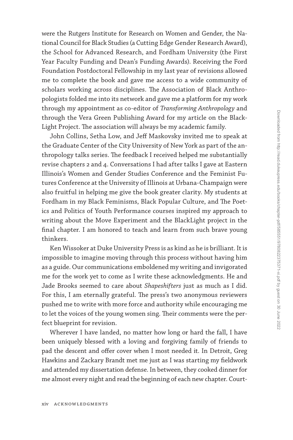were the Rutgers Institute for Research on Women and Gender, the National Council for Black Studies (a Cutting Edge Gender Research Award), the School for Advanced Research, and Fordham University (the First Year Faculty Funding and Dean's Funding Awards). Receiving the Ford Foundation Postdoctoral Fellowship in my last year of revisions allowed me to complete the book and gave me access to a wide community of scholars working across disciplines. The Association of Black Anthropologists folded me into its network and gave me a platform for my work through my appointment as co-editor of *Transforming Anthropology* and through the Vera Green Publishing Award for my article on the Black-Light Project. The association will always be my academic family.

John Collins, Setha Low, and Jeff Maskovsky invited me to speak at the Graduate Center of the City University of New York as part of the anthropology talks series. The feedback I received helped me substantially revise chapters 2 and 4. Conversations I had after talks I gave at Eastern Illinois's Women and Gender Studies Conference and the Feminist Futures Conference at the University of Illinois at Urbana-Champaign were also fruitful in helping me give the book greater clarity. My students at Fordham in my Black Feminisms, Black Popular Culture, and The Poetics and Politics of Youth Performance courses inspired my approach to writing about the Move Experiment and the BlackLight project in the final chapter. I am honored to teach and learn from such brave young thinkers.

Ken Wissoker at Duke University Press is as kind as he is brilliant. It is impossible to imagine moving through this process without having him as a guide. Our communications emboldened my writing and invigorated me for the work yet to come as I write these acknowledgments. He and Jade Brooks seemed to care about *Shapeshifters* just as much as I did. For this, I am eternally grateful. The press's two anonymous reviewers pushed me to write with more force and authority while encouraging me to let the voices of the young women sing. Their comments were the perfect blueprint for revision.

Wherever I have landed, no matter how long or hard the fall, I have been uniquely blessed with a loving and forgiving family of friends to pad the descent and offer cover when I most needed it. In Detroit, Greg Hawkins and Zackary Brandt met me just as I was starting my fieldwork and attended my dissertation defense. In between, they cooked dinner for me almost every night and read the beginning of each new chapter. Court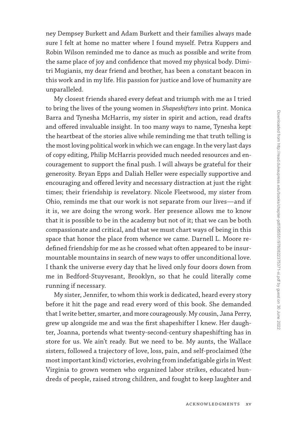ney Dempsey Burkett and Adam Burkett and their families always made sure I felt at home no matter where I found myself. Petra Kuppers and Robin Wilson reminded me to dance as much as possible and write from the same place of joy and confidence that moved my physical body. Dimitri Mugianis, my dear friend and brother, has been a constant beacon in this work and in my life. His passion for justice and love of humanity are unparalleled.

My closest friends shared every defeat and triumph with me as I tried to bring the lives of the young women in *Shapeshifters* into print. Monica Barra and Tynesha McHarris, my sister in spirit and action, read drafts and offered invaluable insight. In too many ways to name, Tynesha kept the heartbeat of the stories alive while reminding me that truth telling is the most loving political work in which we can engage. In the very last days of copy editing, Philip McHarris provided much needed resources and encouragement to support the final push. I will always be grateful for their generosity. Bryan Epps and Daliah Heller were especially supportive and encouraging and offered levity and necessary distraction at just the right times; their friendship is revelatory. Nicole Fleetwood, my sister from Ohio, reminds me that our work is not separate from our lives—and if it is, we are doing the wrong work. Her presence allows me to know that it is possible to be in the academy but not of it; that we can be both compassionate and critical, and that we must chart ways of being in this space that honor the place from whence we came. Darnell L. Moore redefined friendship for me as he crossed what often appeared to be insurmountable mountains in search of new ways to offer unconditional love. I thank the universe every day that he lived only four doors down from me in Bedford-Stuyvesant, Brooklyn, so that he could literally come running if necessary.

My sister, Jennifer, to whom this work is dedicated, heard every story before it hit the page and read every word of this book. She demanded that I write better, smarter, and more courageously. My cousin, Jana Perry, grew up alongside me and was the first shapeshifter I knew. Her daughter, Joanna, portends what twenty-second-century shapeshifting has in store for us. We ain't ready. But we need to be. My aunts, the Wallace sisters, followed a trajectory of love, loss, pain, and self-proclaimed (the most important kind) victories, evolving from indefatigable girls in West Virginia to grown women who organized labor strikes, educated hundreds of people, raised strong children, and fought to keep laughter and